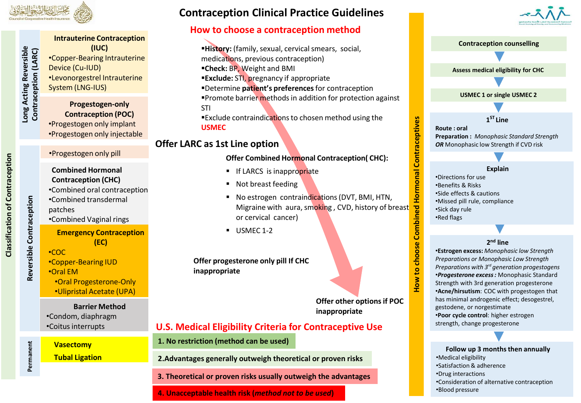

**Long Acting Reversible**  Long Acting Reversible Contraception (LARC) **Contraception (LARC)**

### **Intrauterine Contraception (IUC)** •Copper-Bearing Intrauterine Device (Cu-IUD)

•Levonorgestrel Intrauterine System (LNG-IUS)

**Progestogen-only Contraception (POC)** •Progestogen only implant •Progestogen only injectable

### •Progestogen only pill

### **Combined Hormonal Contraception (CHC)**

•Combined oral contraception

•Combined transdermal patches

•Combined Vaginal rings

### **Emergency Contraception (EC)**

•COC •Copper-Bearing IUD •Oral EM •Oral Progesterone-Only •Ulipristal Acetate (UPA)

### **Barrier Method**

•Condom, diaphragm •Coitus interrupts

**Permanent**

**Vasectomy Tubal Ligation**

# **Contraception Clinical Practice Guidelines**

## **How to choose a contraception method**

*History: (family, sexual, cervical smears, social,* medications, previous contraception) ▪**Check:** BP, Weight and BMI **Exclude: STI, pregnancy if appropriate** ▪Determine **patient's preferences** for contraception **•Promote barrier methods in addition for protection against** STI **Exclude contraindications to chosen method using the USMEC**

### **Offer LARC as 1st Line option**

**Offer Combined Hormonal Contraception( CHC):**

- **E** If LARCS is inappropriate
- Not breast feeding
- No estrogen contraindications (DVT, BMI, HTN, Migraine with aura, smoking, CVD, history of breast or cervical cancer)
- **USMEC 1-2**

**Offer progesterone only pill If CHC inappropriate** 

> **Offer other options if POC inappropriate**

# **U.S. Medical Eligibility Criteria for Contraceptive Use**

- **1. No restriction (method can be used)**
- **2.Advantages generally outweigh theoretical or proven risks**
- **3. Theoretical or proven risks usually outweigh the advantages**
- **4. Unacceptable health risk (***method not to be used***)**



**Classification of Contraception Classification of Contraception** 

**Reversible Contraception**

Reversible Contraception

•Consideration of alternative contraception •Blood pressure

•Satisfaction & adherence •Drug interactions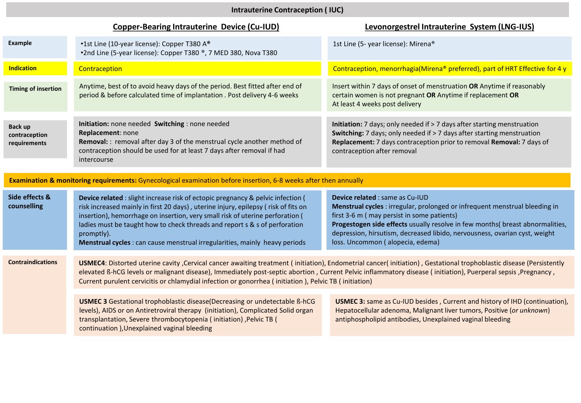|                                          | <b>Copper-Bearing Intrauterine Device (Cu-IUD)</b>                                                                                                                                                                                                                                                                                                                                                                                            | Levonorgestrel Intrauterine System (LNG-IUS)                                                                                                                                                                                                                                                                                                                    |
|------------------------------------------|-----------------------------------------------------------------------------------------------------------------------------------------------------------------------------------------------------------------------------------------------------------------------------------------------------------------------------------------------------------------------------------------------------------------------------------------------|-----------------------------------------------------------------------------------------------------------------------------------------------------------------------------------------------------------------------------------------------------------------------------------------------------------------------------------------------------------------|
| <b>Example</b>                           | •1st Line (10-year license): Copper T380 A®<br>•2nd Line (5-year license): Copper T380 ®, 7 MED 380, Nova T380                                                                                                                                                                                                                                                                                                                                | 1st Line (5- year license): Mirena®                                                                                                                                                                                                                                                                                                                             |
| <b>Indication</b>                        | Contraception                                                                                                                                                                                                                                                                                                                                                                                                                                 | Contraception, menorrhagia(Mirena® preferred), part of HRT Effective for 4 y                                                                                                                                                                                                                                                                                    |
| <b>Timing of insertion</b>               | Anytime, best of to avoid heavy days of the period. Best fitted after end of<br>period & before calculated time of implantation . Post delivery 4-6 weeks                                                                                                                                                                                                                                                                                     | Insert within 7 days of onset of menstruation OR Anytime if reasonably<br>certain women is not pregnant OR Anytime if replacement OR<br>At least 4 weeks post delivery                                                                                                                                                                                          |
| Back up<br>contraception<br>requirements | Initiation: none needed Switching : none needed<br>Replacement: none<br>Removal: : removal after day 3 of the menstrual cycle another method of<br>contraception should be used for at least 7 days after removal if had<br>intercourse                                                                                                                                                                                                       | Initiation: 7 days; only needed if > 7 days after starting menstruation<br>Switching: 7 days; only needed if > 7 days after starting menstruation<br>Replacement: 7 days contraception prior to removal Removal: 7 days of<br>contraception after removal                                                                                                       |
|                                          | Examination & monitoring requirements: Gynecological examination before insertion, 6-8 weeks after then annually                                                                                                                                                                                                                                                                                                                              |                                                                                                                                                                                                                                                                                                                                                                 |
| Side effects &<br>counselling            | Device related : slight increase risk of ectopic pregnancy & pelvic infection (<br>risk increased mainly in first 20 days), uterine injury, epilepsy (risk of fits on<br>insertion), hemorrhage on insertion, very small risk of uterine perforation (<br>ladies must be taught how to check threads and report s & s of perforation<br>promptly).<br>Menstrual cycles : can cause menstrual irregularities, mainly heavy periods             | Device related : same as Cu-IUD<br>Menstrual cycles : irregular, prolonged or infrequent menstrual bleeding in<br>first 3-6 m (may persist in some patients)<br>Progestogen side effects usually resolve in few months( breast abnormalities,<br>depression, hirsutism, decreased libido, nervousness, ovarian cyst, weight<br>loss. Uncommon (alopecia, edema) |
| <b>Contraindications</b>                 | USMEC4: Distorted uterine cavity , Cervical cancer awaiting treatment (initiation), Endometrial cancer(initiation), Gestational trophoblastic disease (Persistently<br>elevated ß-hCG levels or malignant disease), Immediately post-septic abortion, Current Pelvic inflammatory disease (initiation), Puerperal sepsis, Pregnancy,<br>Current purulent cervicitis or chlamydial infection or gonorrhea (initiation), Pelvic TB (initiation) |                                                                                                                                                                                                                                                                                                                                                                 |
|                                          | <b>USMEC 3</b> Gestational trophoblastic disease(Decreasing or undetectable ß-hCG<br>levels), AIDS or on Antiretroviral therapy (initiation), Complicated Solid organ<br>transplantation, Severe thrombocytopenia (initiation), Pelvic TB (                                                                                                                                                                                                   | <b>USMEC 3:</b> same as Cu-IUD besides, Current and history of IHD (continuation),<br>Hepatocellular adenoma, Malignant liver tumors, Positive (or unknown)<br>antiphospholipid antibodies, Unexplained vaginal bleeding                                                                                                                                        |

continuation ),Unexplained vaginal bleeding

antiphospholipid antibodies, Unexplained vaginal bleeding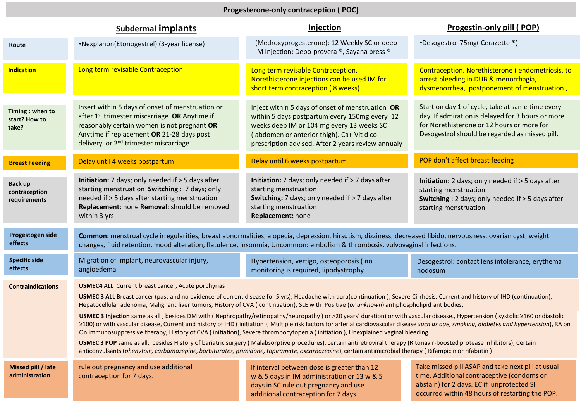### **Progesterone-only contraception ( POC)**

|                                                 | <b>Subdermal implants</b>                                                                                                                                                                                                                                                                                                                                                                                                                                                                                                                                                                                                                                                                                                        | <b>Injection</b>                                                                                                                                                                                                                                                                                                                                                                                                                                                                                               | <b>Progestin-only pill (POP)</b>                                                                                                                                                                      |
|-------------------------------------------------|----------------------------------------------------------------------------------------------------------------------------------------------------------------------------------------------------------------------------------------------------------------------------------------------------------------------------------------------------------------------------------------------------------------------------------------------------------------------------------------------------------------------------------------------------------------------------------------------------------------------------------------------------------------------------------------------------------------------------------|----------------------------------------------------------------------------------------------------------------------------------------------------------------------------------------------------------------------------------------------------------------------------------------------------------------------------------------------------------------------------------------------------------------------------------------------------------------------------------------------------------------|-------------------------------------------------------------------------------------------------------------------------------------------------------------------------------------------------------|
| Route                                           | •Nexplanon(Etonogestrel) (3-year license)                                                                                                                                                                                                                                                                                                                                                                                                                                                                                                                                                                                                                                                                                        | (Medroxyprogesterone): 12 Weekly SC or deep<br>IM Injection: Depo-provera ®, Sayana press ®                                                                                                                                                                                                                                                                                                                                                                                                                    | *Desogestrol 75mg(Cerazette ®)                                                                                                                                                                        |
| <b>Indication</b>                               | Long term revisable Contraception                                                                                                                                                                                                                                                                                                                                                                                                                                                                                                                                                                                                                                                                                                | Long term revisable Contraception.<br>Norethisterone injections can be used IM for<br>short term contraception (8 weeks)                                                                                                                                                                                                                                                                                                                                                                                       | Contraception. Norethisterone (endometriosis, to<br>arrest bleeding in DUB & menorrhagia,<br>dysmenorrhea, postponement of menstruation,                                                              |
| Timing: when to<br>start? How to<br>take?       | Insert within 5 days of onset of menstruation or<br>after 1 <sup>st</sup> trimester miscarriage OR Anytime if<br>reasonably certain women is not pregnant OR<br>Anytime if replacement OR 21-28 days post<br>delivery or 2 <sup>nd</sup> trimester miscarriage                                                                                                                                                                                                                                                                                                                                                                                                                                                                   | Inject within 5 days of onset of menstruation OR<br>within 5 days postpartum every 150mg every 12<br>weeks deep IM or 104 mg every 13 weeks SC<br>(abdomen or anterior thigh). Ca+ Vit d co<br>prescription advised. After 2 years review annualy                                                                                                                                                                                                                                                              | Start on day 1 of cycle, take at same time every<br>day. If admiration is delayed for 3 hours or more<br>for Norethisterone or 12 hours or more for<br>Desogestrol should be regarded as missed pill. |
| <b>Breast Feeding</b>                           | Delay until 4 weeks postpartum                                                                                                                                                                                                                                                                                                                                                                                                                                                                                                                                                                                                                                                                                                   | Delay until 6 weeks postpartum                                                                                                                                                                                                                                                                                                                                                                                                                                                                                 | POP don't affect breast feeding                                                                                                                                                                       |
| <b>Back up</b><br>contraception<br>requirements | Initiation: 7 days; only needed if > 5 days after<br>starting menstruation Switching: 7 days; only<br>needed if > 5 days after starting menstruation<br>Replacement: none Removal: should be removed<br>within 3 yrs                                                                                                                                                                                                                                                                                                                                                                                                                                                                                                             | Initiation: 7 days; only needed if > 7 days after<br>starting menstruation<br>Switching: 7 days; only needed if > 7 days after<br>starting menstruation<br>Replacement: none                                                                                                                                                                                                                                                                                                                                   | Initiation: 2 days; only needed if $>$ 5 days after<br>starting menstruation<br><b>Switching</b> : 2 days; only needed if $>$ 5 days after<br>starting menstruation                                   |
| Progestogen side<br>effects                     | changes, fluid retention, mood alteration, flatulence, insomnia, Uncommon: embolism & thrombosis, vulvovaginal infections.                                                                                                                                                                                                                                                                                                                                                                                                                                                                                                                                                                                                       | Common: menstrual cycle irregularities, breast abnormalities, alopecia, depression, hirsutism, dizziness, decreased libido, nervousness, ovarian cyst, weight                                                                                                                                                                                                                                                                                                                                                  |                                                                                                                                                                                                       |
| <b>Specific side</b><br>effects                 | Migration of implant, neurovascular injury,<br>angioedema                                                                                                                                                                                                                                                                                                                                                                                                                                                                                                                                                                                                                                                                        | Hypertension, vertigo, osteoporosis (no<br>monitoring is required, lipodystrophy                                                                                                                                                                                                                                                                                                                                                                                                                               | Desogestrol: contact lens intolerance, erythema<br>nodosum                                                                                                                                            |
| <b>Contraindications</b>                        | <b>USMEC4</b> ALL Current breast cancer, Acute porphyrias<br>USMEC 3 ALL Breast cancer (past and no evidence of current disease for 5 yrs), Headache with aura(continuation), Severe Cirrhosis, Current and history of IHD (continuation),<br>Hepatocellular adenoma, Malignant liver tumors, History of CVA (continuation), SLE with Positive (or unknown) antiphospholipid antibodies,<br>USMEC 3 POP same as all, besides History of bariatric surgery (Malabsorptive procedures), certain antiretroviral therapy (Ritonavir-boosted protease inhibitors), Certain<br>anticonvulsants (phenytoin, carbamazepine, barbiturates, primidone, topiramate, oxcarbazepine), certain antimicrobial therapy (Rifampicin or rifabutin) | USMEC 3 Injection same as all, besides DM with (Nephropathy/retinopathy/neuropathy) or >20 years' duration) or with vascular disease., Hypertension (systolic ≥160 or diastolic<br>≥100) or with vascular disease, Current and history of IHD (initiation), Multiple risk factors for arterial cardiovascular disease such as age, smoking, diabetes and hypertension), RA on<br>On immunosuppressive therapy, History of CVA (initiation), Severe thrombocytopenia (initiation), Unexplained vaginal bleeding |                                                                                                                                                                                                       |
| Missed pill / late<br>administration            | rule out pregnancy and use additional<br>contraception for 7 days.                                                                                                                                                                                                                                                                                                                                                                                                                                                                                                                                                                                                                                                               | If interval between dose is greater than 12<br>w & 5 days in IM administration or 13 w & 5<br>days in SC rule out pregnancy and use<br>additional contraception for 7 days.                                                                                                                                                                                                                                                                                                                                    | Take missed pill ASAP and take next pill at usual<br>time. Additional contraceptive (condoms or<br>abstain) for 2 days. EC if unprotected SI<br>occurred within 48 hours of restarting the POP.       |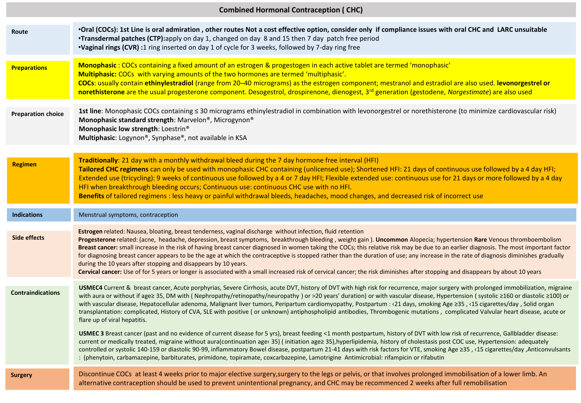|                           | <b>Combined Hormonal Contraception (CHC)</b>                                                                                                                                                                                                                                                                                                                                                                                                                                                                                                                                                                                                                                                                                                                                                                                                                                                                                                                                                                                                                                                                                              |
|---------------------------|-------------------------------------------------------------------------------------------------------------------------------------------------------------------------------------------------------------------------------------------------------------------------------------------------------------------------------------------------------------------------------------------------------------------------------------------------------------------------------------------------------------------------------------------------------------------------------------------------------------------------------------------------------------------------------------------------------------------------------------------------------------------------------------------------------------------------------------------------------------------------------------------------------------------------------------------------------------------------------------------------------------------------------------------------------------------------------------------------------------------------------------------|
| Route                     | •Oral (COCs): 1st Line is oral admiration, other routes Not a cost effective option, consider only if compliance issues with oral CHC and LARC unsuitable<br>•Transdermal patches (CTP):apply on day 1, changed on day 8 and 15 then 7 day patch free period<br>•Vaginal rings (CVR) :1 ring inserted on day 1 of cycle for 3 weeks, followed by 7-day ring free                                                                                                                                                                                                                                                                                                                                                                                                                                                                                                                                                                                                                                                                                                                                                                          |
| <b>Preparations</b>       | Monophasic : COCs containing a fixed amount of an estrogen & progestogen in each active tablet are termed 'monophasic'<br>Multiphasic: COCs with varying amounts of the two hormones are termed 'multiphasic'.<br>COCs: usually contain ethinylestradiol (range from 20-40 micrograms) as the estrogen component; mestranol and estradiol are also used. levonorgestrel or<br>norethisterone are the usual progesterone component. Desogestrol, drospirenone, dienogest, 3 <sup>rd</sup> generation (gestodene, Norgestimate) are also used                                                                                                                                                                                                                                                                                                                                                                                                                                                                                                                                                                                               |
| <b>Preparation choice</b> | 1st line: Monophasic COCs containing < 30 micrograms ethinylestradiol in combination with levonorgestrel or norethisterone (to minimize cardiovascular risk)<br>Monophasic standard strength: Marvelon®, Microgynon®<br>Monophasic low strength: Loestrin®<br>Multiphasic: Logynon®, Synphase®, not available in KSA                                                                                                                                                                                                                                                                                                                                                                                                                                                                                                                                                                                                                                                                                                                                                                                                                      |
| <b>Regimen</b>            | Traditionally: 21 day with a monthly withdrawal bleed during the 7 day hormone free interval (HFI)<br>Tailored CHC regimens can only be used with monophasic CHC containing (unlicensed use); Shortened HFI: 21 days of continuous use followed by a 4 day HFI;<br>Extended use (tricycling): 9 weeks of continuous use followed by a 4 or 7 day HFI; Flexible extended use: continuous use for 21 days or more followed by a 4 day<br>HFI when breakthrough bleeding occurs; Continuous use: continuous CHC use with no HFI.<br>Benefits of tailored regimens : less heavy or painful withdrawal bleeds, headaches, mood changes, and decreased risk of incorrect use                                                                                                                                                                                                                                                                                                                                                                                                                                                                    |
| <b>Indications</b>        | Menstrual symptoms, contraception                                                                                                                                                                                                                                                                                                                                                                                                                                                                                                                                                                                                                                                                                                                                                                                                                                                                                                                                                                                                                                                                                                         |
|                           | Estrogen related: Nausea, bloating, breast tenderness, vaginal discharge without infection, fluid retention                                                                                                                                                                                                                                                                                                                                                                                                                                                                                                                                                                                                                                                                                                                                                                                                                                                                                                                                                                                                                               |
| Side effects              | Progesterone related: (acne, headache, depression, breast symptoms, breakthrough bleeding, weight gain). Uncommon Alopecia; hypertension Rare Venous thromboembolism<br>Breast cancer: small increase in the risk of having breast cancer diagnosed in women taking the COCs; this relative risk may be due to an earlier diagnosis. The most important factor<br>for diagnosing breast cancer appears to be the age at which the contraceptive is stopped rather than the duration of use; any increase in the rate of diagnosis diminishes gradually<br>during the 10 years after stopping and disappears by 10 years.<br>Cervical cancer: Use of for 5 years or longer is associated with a small increased risk of cervical cancer; the risk diminishes after stopping and disappears by about 10 years                                                                                                                                                                                                                                                                                                                               |
| <b>Contraindications</b>  | USMEC4 Current & breast cancer, Acute porphyrias, Severe Cirrhosis, acute DVT, history of DVT with high risk for recurrence, major surgery with prolonged immobilization, migraine<br>with aura or without if age≥ 35, DM with (Nephropathy/retinopathy/neuropathy) or >20 years' duration) or with vascular disease, Hypertension (systolic ≥160 or diastolic ≥100) or<br>with vascular disease, Hepatocellular adenoma, Malignant liver tumors, Peripartum cardiomyopathy, Postpartum : <21 days, smoking Age ≥35, <15 cigarettes/day, Solid organ<br>transplantation: complicated, History of CVA, SLE with positive (or unknown) antiphospholipid antibodies, Thrombogenic mutations, complicated Valvular heart disease, acute or<br>flare up of viral hepatitis.<br>USMEC 3 Breast cancer (past and no evidence of current disease for 5 yrs), breast feeding <1 month postpartum, history of DVT with low risk of recurrence, Gallbladder disease:<br>current or medically treated, migraine without aura(continuation age 35) (initiation age≥ 35), hyperlipidemia, history of cholestasis post COC use, Hypertension: adequately |
|                           | controlled or systolic 140-159 or diastolic 90-99, inflammatory Bowel disease, postpartum 21-41 days with risk factors for VTE, smoking Age ≥35, <15 cigarettes/day, Anticonvulsants<br>: (phenytoin, carbamazepine, barbiturates, primidone, topiramate, coxcarbazepine, Lamotrigine Antimicrobial: rifampicin or rifabutin                                                                                                                                                                                                                                                                                                                                                                                                                                                                                                                                                                                                                                                                                                                                                                                                              |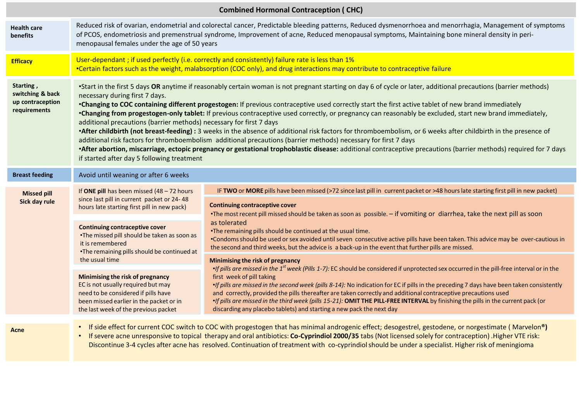|                                                                   |                                                                                                                                                                                                  | <b>Combined Hormonal Contraception (CHC)</b>                                                                                                                                                                                                                                                                                                                                                                                                                                                                                                                                                                                                                                                                                                                                                                                                                                                                                                                                                                                                                                                                                                                                                                                                                                                                                                                                                                                                                                                                                                                                                                                                                                                                                                                                                        |
|-------------------------------------------------------------------|--------------------------------------------------------------------------------------------------------------------------------------------------------------------------------------------------|-----------------------------------------------------------------------------------------------------------------------------------------------------------------------------------------------------------------------------------------------------------------------------------------------------------------------------------------------------------------------------------------------------------------------------------------------------------------------------------------------------------------------------------------------------------------------------------------------------------------------------------------------------------------------------------------------------------------------------------------------------------------------------------------------------------------------------------------------------------------------------------------------------------------------------------------------------------------------------------------------------------------------------------------------------------------------------------------------------------------------------------------------------------------------------------------------------------------------------------------------------------------------------------------------------------------------------------------------------------------------------------------------------------------------------------------------------------------------------------------------------------------------------------------------------------------------------------------------------------------------------------------------------------------------------------------------------------------------------------------------------------------------------------------------------|
| <b>Health care</b><br><b>benefits</b>                             | menopausal females under the age of 50 years                                                                                                                                                     |                                                                                                                                                                                                                                                                                                                                                                                                                                                                                                                                                                                                                                                                                                                                                                                                                                                                                                                                                                                                                                                                                                                                                                                                                                                                                                                                                                                                                                                                                                                                                                                                                                                                                                                                                                                                     |
| <b>Efficacy</b>                                                   |                                                                                                                                                                                                  |                                                                                                                                                                                                                                                                                                                                                                                                                                                                                                                                                                                                                                                                                                                                                                                                                                                                                                                                                                                                                                                                                                                                                                                                                                                                                                                                                                                                                                                                                                                                                                                                                                                                                                                                                                                                     |
| Starting,<br>switching & back<br>up contraception<br>requirements | necessary during first 7 days.<br>additional precautions (barrier methods) necessary for first 7 days<br>if started after day 5 following treatment                                              | Reduced risk of ovarian, endometrial and colorectal cancer, Predictable bleeding patterns, Reduced dysmenorrhoea and menorrhagia, Management of symptoms<br>of PCOS, endometriosis and premenstrual syndrome, Improvement of acne, Reduced menopausal symptoms, Maintaining bone mineral density in peri-<br>User-dependant; if used perfectly (i.e. correctly and consistently) failure rate is less than 1%<br>•Certain factors such as the weight, malabsorption (COC only), and drug interactions may contribute to contraceptive failure<br>•Start in the first 5 days OR anytime if reasonably certain woman is not pregnant starting on day 6 of cycle or later, additional precautions (barrier methods)<br>•Changing to COC containing different progestogen: If previous contraceptive used correctly start the first active tablet of new brand immediately<br>•Changing from progestogen-only tablet: If previous contraceptive used correctly, or pregnancy can reasonably be excluded, start new brand immediately,<br>•After childbirth (not breast-feeding) : 3 weeks in the absence of additional risk factors for thromboembolism, or 6 weeks after childbirth in the presence of<br>additional risk factors for thromboembolism additional precautions (barrier methods) necessary for first 7 days<br>*After abortion, miscarriage, ectopic pregnancy or gestational trophoblastic disease: additional contraceptive precautions (barrier methods) required for 7 days<br>IF TWO or MORE pills have been missed (>72 since last pill in current packet or >48 hours late starting first pill in new packet)<br><b>Continuing contraceptive cover</b><br>•The most recent pill missed should be taken as soon as possible. - if vomiting or diarrhea, take the next pill as soon |
| <b>Breast feeding</b>                                             | Avoid until weaning or after 6 weeks                                                                                                                                                             |                                                                                                                                                                                                                                                                                                                                                                                                                                                                                                                                                                                                                                                                                                                                                                                                                                                                                                                                                                                                                                                                                                                                                                                                                                                                                                                                                                                                                                                                                                                                                                                                                                                                                                                                                                                                     |
| <b>Missed pill</b><br>Sick day rule                               | If ONE pill has been missed $(48 - 72$ hours<br>since last pill in current packet or 24-48<br>hours late starting first pill in new pack)                                                        |                                                                                                                                                                                                                                                                                                                                                                                                                                                                                                                                                                                                                                                                                                                                                                                                                                                                                                                                                                                                                                                                                                                                                                                                                                                                                                                                                                                                                                                                                                                                                                                                                                                                                                                                                                                                     |
|                                                                   | <b>Continuing contraceptive cover</b><br>•The missed pill should be taken as soon as<br>it is remembered<br>•The remaining pills should be continued at                                          | as tolerated<br>.The remaining pills should be continued at the usual time.<br>•Condoms should be used or sex avoided until seven consecutive active pills have been taken. This advice may be over-cautious in<br>the second and third weeks, but the advice is a back-up in the event that further pills are missed.                                                                                                                                                                                                                                                                                                                                                                                                                                                                                                                                                                                                                                                                                                                                                                                                                                                                                                                                                                                                                                                                                                                                                                                                                                                                                                                                                                                                                                                                              |
|                                                                   | the usual time                                                                                                                                                                                   | Minimising the risk of pregnancy<br>•If pills are missed in the 1 <sup>st</sup> week (Pills 1-7): EC should be considered if unprotected sex occurred in the pill-free interval or in the                                                                                                                                                                                                                                                                                                                                                                                                                                                                                                                                                                                                                                                                                                                                                                                                                                                                                                                                                                                                                                                                                                                                                                                                                                                                                                                                                                                                                                                                                                                                                                                                           |
|                                                                   | Minimising the risk of pregnancy<br>EC is not usually required but may<br>need to be considered if pills have<br>been missed earlier in the packet or in<br>the last week of the previous packet | first week of pill taking<br>. If pills are missed in the second week (pills 8-14): No indication for EC if pills in the preceding 7 days have been taken consistently<br>and correctly, provided the pills thereafter are taken correctly and additional contraceptive precautions used<br>. If pills are missed in the third week (pills 15-21): OMIT THE PILL-FREE INTERVAL by finishing the pills in the current pack (or<br>discarding any placebo tablets) and starting a new pack the next day                                                                                                                                                                                                                                                                                                                                                                                                                                                                                                                                                                                                                                                                                                                                                                                                                                                                                                                                                                                                                                                                                                                                                                                                                                                                                               |
| Acne                                                              |                                                                                                                                                                                                  | • If side effect for current COC switch to COC with progestogen that has minimal androgenic effect; desogestrel, gestodene, or norgestimate (Marvelon®)<br>If coverage unrespected to topical there was and architectics: Co Cunripolial 2000/35 take (Not licensed solely for contraception). Higher VTE ricky                                                                                                                                                                                                                                                                                                                                                                                                                                                                                                                                                                                                                                                                                                                                                                                                                                                                                                                                                                                                                                                                                                                                                                                                                                                                                                                                                                                                                                                                                     |

• If severe acne unresponsive to topical therapy and oral antibiotics: **Co-Cyprindiol 2000/35** tabs (Not licensed solely for contraception) .Higher VTE risk: Discontinue 3-4 cycles after acne has resolved. Continuation of treatment with co-cyprindiol should be under a specialist. Higher risk of meningioma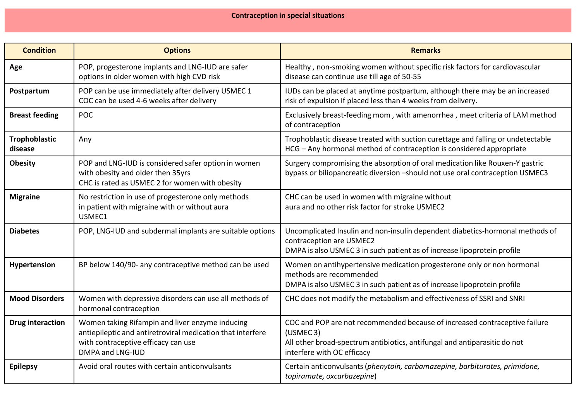| <b>Condition</b>         | <b>Options</b>                                                                                                                                                           | <b>Remarks</b>                                                                                                                                                                                     |
|--------------------------|--------------------------------------------------------------------------------------------------------------------------------------------------------------------------|----------------------------------------------------------------------------------------------------------------------------------------------------------------------------------------------------|
| Age                      | POP, progesterone implants and LNG-IUD are safer<br>options in older women with high CVD risk                                                                            | Healthy, non-smoking women without specific risk factors for cardiovascular<br>disease can continue use till age of 50-55                                                                          |
| Postpartum               | POP can be use immediately after delivery USMEC 1<br>COC can be used 4-6 weeks after delivery                                                                            | IUDs can be placed at anytime postpartum, although there may be an increased<br>risk of expulsion if placed less than 4 weeks from delivery.                                                       |
| <b>Breast feeding</b>    | <b>POC</b>                                                                                                                                                               | Exclusively breast-feeding mom, with amenorrhea, meet criteria of LAM method<br>of contraception                                                                                                   |
| Trophoblastic<br>disease | Any                                                                                                                                                                      | Trophoblastic disease treated with suction curettage and falling or undetectable<br>HCG - Any hormonal method of contraception is considered appropriate                                           |
| <b>Obesity</b>           | POP and LNG-IUD is considered safer option in women<br>with obesity and older then 35yrs<br>CHC is rated as USMEC 2 for women with obesity                               | Surgery compromising the absorption of oral medication like Rouxen-Y gastric<br>bypass or biliopancreatic diversion -should not use oral contraception USMEC3                                      |
| <b>Migraine</b>          | No restriction in use of progesterone only methods<br>in patient with migraine with or without aura<br>USMEC1                                                            | CHC can be used in women with migraine without<br>aura and no other risk factor for stroke USMEC2                                                                                                  |
| <b>Diabetes</b>          | POP, LNG-IUD and subdermal implants are suitable options                                                                                                                 | Uncomplicated Insulin and non-insulin dependent diabetics-hormonal methods of<br>contraception are USMEC2<br>DMPA is also USMEC 3 in such patient as of increase lipoprotein profile               |
| Hypertension             | BP below 140/90- any contraceptive method can be used                                                                                                                    | Women on antihypertensive medication progesterone only or non hormonal<br>methods are recommended<br>DMPA is also USMEC 3 in such patient as of increase lipoprotein profile                       |
| <b>Mood Disorders</b>    | Women with depressive disorders can use all methods of<br>hormonal contraception                                                                                         | CHC does not modify the metabolism and effectiveness of SSRI and SNRI                                                                                                                              |
| <b>Drug interaction</b>  | Women taking Rifampin and liver enzyme inducing<br>antiepileptic and antiretroviral medication that interfere<br>with contraceptive efficacy can use<br>DMPA and LNG-IUD | COC and POP are not recommended because of increased contraceptive failure<br>(USMEC 3)<br>All other broad-spectrum antibiotics, antifungal and antiparasitic do not<br>interfere with OC efficacy |
| <b>Epilepsy</b>          | Avoid oral routes with certain anticonvulsants                                                                                                                           | Certain anticonvulsants (phenytoin, carbamazepine, barbiturates, primidone,<br>topiramate, oxcarbazepine)                                                                                          |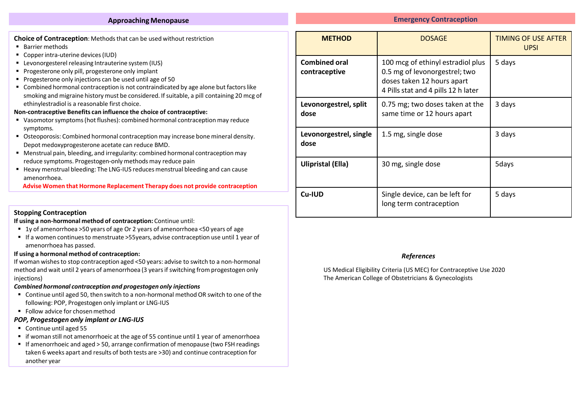#### **Approaching Menopause**

#### **Emergency Contraception**

**Choice of Contraception**: Methods that can be used without restriction

- Barrier methods
- Copper intra-uterine devices (IUD)
- Levonorgesterel releasing Intrauterine system (IUS)
- Progesterone only pill, progesterone only implant
- Progesterone only injections can be used until age of 50
- Combined hormonal contraception is not contraindicated by age alone but factors like smoking and migraine history must be considered. If suitable, a pill containing 20 mcg of ethinylestradiol is a reasonable first choice.

#### **Non-contraceptive Benefits can influence the choice of contraceptive:**

- Vasomotor symptoms (hot flushes): combined hormonal contraception may reduce symptoms.
- Osteoporosis: Combined hormonal contraception may increase bone mineral density. Depot medoxyprogesterone acetate can reduce BMD.
- Menstrual pain, bleeding, and irregularity: combined hormonal contraception may reduce symptoms. Progestogen-only methods may reduce pain
- Heavy menstrual bleeding: The LNG-IUS reduces menstrual bleeding and can cause amenorrhoea.

#### **Advise Women that Hormone Replacement Therapy does not provide contraception**

#### **Stopping Contraception**

#### **If using a non-hormonal method of contraception:** Continue until:

- 1y of amenorrhoea > 50 years of age Or 2 years of amenorrhoea < 50 years of age
- If a women continues to menstruate >55years, advise contraception use until 1 year of amenorrhoea has passed.

#### **If using a hormonal method of contraception:**

If woman wishes to stop contraception aged <50 years: advise to switch to a non-hormonal method and wait until 2 years of amenorrhoea (3 years if switching from progestogen only injections)

#### *Combined hormonal contraception and progestogen only injections*

- Continue until aged 50, then switch to a non-hormonal method OR switch to one of the following: POP, Progestogen only implant or LNG-IUS
- Follow advice for chosen method

#### *POP, Progestogen only implant or LNG-IUS*

- Continue until aged 55
- if woman still not amenorrhoeic at the age of 55 continue until 1 year of amenorrhoea
- If amenorrhoeic and aged > 50, arrange confirmation of menopause (two FSH readings taken 6 weeks apart and results of both tests are >30) and continue contraception for another year

| <b>METHOD</b>                         | <b>DOSAGE</b>                                                                                                                           | <b>TIMING OF USE AFTER</b><br><b>UPSI</b> |
|---------------------------------------|-----------------------------------------------------------------------------------------------------------------------------------------|-------------------------------------------|
| <b>Combined oral</b><br>contraceptive | 100 mcg of ethinyl estradiol plus<br>0.5 mg of levonorgestrel; two<br>doses taken 12 hours apart<br>4 Pills stat and 4 pills 12 h later | 5 days                                    |
| Levonorgestrel, split<br>dose         | 0.75 mg; two doses taken at the<br>same time or 12 hours apart                                                                          | 3 days                                    |
| Levonorgestrel, single<br>dose        | 1.5 mg, single dose                                                                                                                     | 3 days                                    |
| <b>Ulipristal (Ella)</b>              | 30 mg, single dose                                                                                                                      | 5days                                     |
| Cu-IUD                                | Single device, can be left for<br>long term contraception                                                                               | 5 days                                    |

#### *References*

US Medical Eligibility Criteria (US MEC) for Contraceptive Use 2020 The American College of Obstetricians & Gynecologists